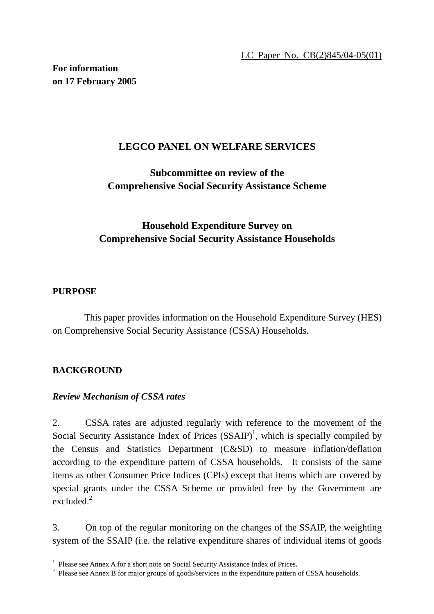LC Paper No. CB(2)845/04-05(01)

**For information on 17 February 2005** 

### **LEGCO PANEL ON WELFARE SERVICES**

# **Subcommittee on review of the Comprehensive Social Security Assistance Scheme**

# **Household Expenditure Survey on Comprehensive Social Security Assistance Households**

### **PURPOSE**

 This paper provides information on the Household Expenditure Survey (HES) on Comprehensive Social Security Assistance (CSSA) Households.

#### **BACKGROUND**

 $\overline{a}$ 

#### *Review Mechanism of CSSA rates*

2. CSSA rates are adjusted regularly with reference to the movement of the Social Security Assistance Index of Prices  $(SSAIP)^1$ , which is specially compiled by the Census and Statistics Department (C&SD) to measure inflation/deflation according to the expenditure pattern of CSSA households. It consists of the same items as other Consumer Price Indices (CPIs) except that items which are covered by special grants under the CSSA Scheme or provided free by the Government are excluded $^2$ 

3. On top of the regular monitoring on the changes of the SSAIP, the weighting system of the SSAIP (i.e. the relative expenditure shares of individual items of goods

<sup>&</sup>lt;sup>1</sup> Please see Annex A for a short note on Social Security Assistance Index of Prices.<br><sup>2</sup> Please see Annex B for major groups of goods/services in the expenditure pattern

<sup>&</sup>lt;sup>2</sup> Please see Annex B for major groups of goods/services in the expenditure pattern of CSSA households.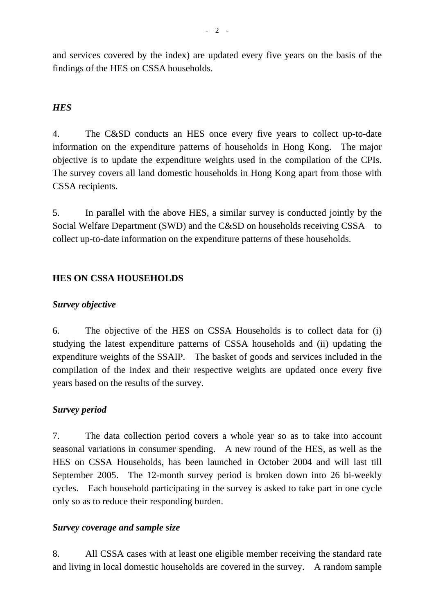and services covered by the index) are updated every five years on the basis of the findings of the HES on CSSA households.

### *HES*

4. The C&SD conducts an HES once every five years to collect up-to-date information on the expenditure patterns of households in Hong Kong. The major objective is to update the expenditure weights used in the compilation of the CPIs. The survey covers all land domestic households in Hong Kong apart from those with CSSA recipients.

5. In parallel with the above HES, a similar survey is conducted jointly by the Social Welfare Department (SWD) and the C&SD on households receiving CSSA to collect up-to-date information on the expenditure patterns of these households.

### **HES ON CSSA HOUSEHOLDS**

#### *Survey objective*

6. The objective of the HES on CSSA Households is to collect data for (i) studying the latest expenditure patterns of CSSA households and (ii) updating the expenditure weights of the SSAIP. The basket of goods and services included in the compilation of the index and their respective weights are updated once every five years based on the results of the survey.

#### *Survey period*

7. The data collection period covers a whole year so as to take into account seasonal variations in consumer spending. A new round of the HES, as well as the HES on CSSA Households, has been launched in October 2004 and will last till September 2005. The 12-month survey period is broken down into 26 bi-weekly cycles. Each household participating in the survey is asked to take part in one cycle only so as to reduce their responding burden.

#### *Survey coverage and sample size*

8. All CSSA cases with at least one eligible member receiving the standard rate and living in local domestic households are covered in the survey. A random sample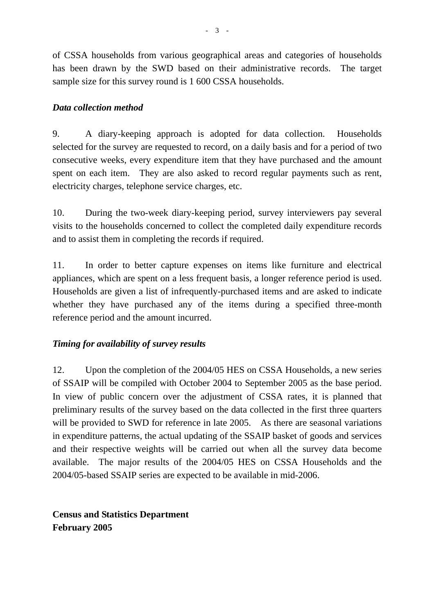of CSSA households from various geographical areas and categories of households has been drawn by the SWD based on their administrative records. The target sample size for this survey round is 1 600 CSSA households.

### *Data collection method*

9. A diary-keeping approach is adopted for data collection. Households selected for the survey are requested to record, on a daily basis and for a period of two consecutive weeks, every expenditure item that they have purchased and the amount spent on each item. They are also asked to record regular payments such as rent, electricity charges, telephone service charges, etc.

10. During the two-week diary-keeping period, survey interviewers pay several visits to the households concerned to collect the completed daily expenditure records and to assist them in completing the records if required.

11. In order to better capture expenses on items like furniture and electrical appliances, which are spent on a less frequent basis, a longer reference period is used. Households are given a list of infrequently-purchased items and are asked to indicate whether they have purchased any of the items during a specified three-month reference period and the amount incurred.

## *Timing for availability of survey results*

12. Upon the completion of the 2004/05 HES on CSSA Households, a new series of SSAIP will be compiled with October 2004 to September 2005 as the base period. In view of public concern over the adjustment of CSSA rates, it is planned that preliminary results of the survey based on the data collected in the first three quarters will be provided to SWD for reference in late 2005. As there are seasonal variations in expenditure patterns, the actual updating of the SSAIP basket of goods and services and their respective weights will be carried out when all the survey data become available. The major results of the 2004/05 HES on CSSA Households and the 2004/05-based SSAIP series are expected to be available in mid-2006.

**Census and Statistics Department February 2005**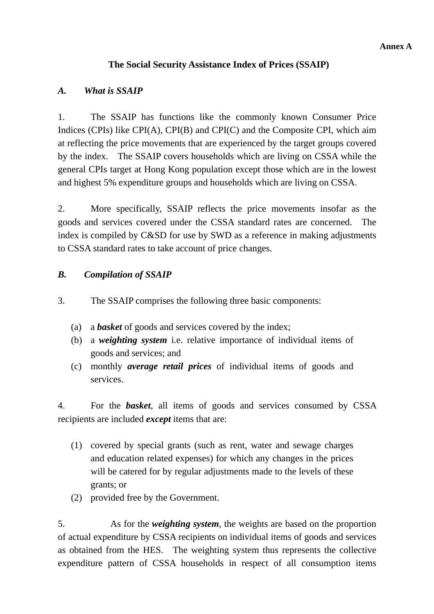## **The Social Security Assistance Index of Prices (SSAIP)**

## *A. What is SSAIP*

1. The SSAIP has functions like the commonly known Consumer Price Indices (CPIs) like CPI(A), CPI(B) and CPI(C) and the Composite CPI, which aim at reflecting the price movements that are experienced by the target groups covered by the index. The SSAIP covers households which are living on CSSA while the general CPIs target at Hong Kong population except those which are in the lowest and highest 5% expenditure groups and households which are living on CSSA.

2. More specifically, SSAIP reflects the price movements insofar as the goods and services covered under the CSSA standard rates are concerned. The index is compiled by C&SD for use by SWD as a reference in making adjustments to CSSA standard rates to take account of price changes.

## *B. Compilation of SSAIP*

- 3. The SSAIP comprises the following three basic components:
	- (a) a *basket* of goods and services covered by the index;
	- (b) a *weighting system* i.e. relative importance of individual items of goods and services; and
	- (c) monthly *average retail prices* of individual items of goods and services.

4. For the *basket*, all items of goods and services consumed by CSSA recipients are included *except* items that are:

- (1) covered by special grants (such as rent, water and sewage charges and education related expenses) for which any changes in the prices will be catered for by regular adjustments made to the levels of these grants; or
- (2) provided free by the Government.

5. As for the *weighting system*, the weights are based on the proportion of actual expenditure by CSSA recipients on individual items of goods and services as obtained from the HES. The weighting system thus represents the collective expenditure pattern of CSSA households in respect of all consumption items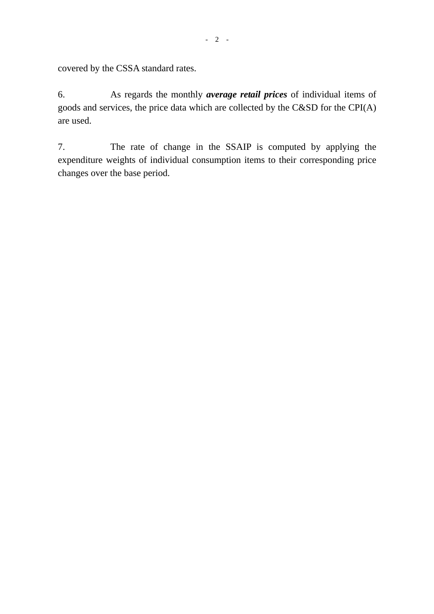covered by the CSSA standard rates.

6. As regards the monthly *average retail prices* of individual items of goods and services, the price data which are collected by the C&SD for the CPI(A) are used.

7. The rate of change in the SSAIP is computed by applying the expenditure weights of individual consumption items to their corresponding price changes over the base period.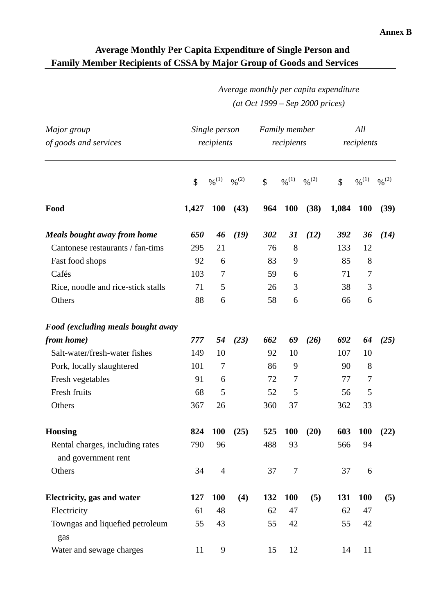# **Average Monthly Per Capita Expenditure of Single Person and Family Member Recipients of CSSA by Major Group of Goods and Services**

# *Average monthly per capita expenditure (at Oct 1999 – Sep 2000 prices)*

| Major group<br>of goods and services                   | Single person<br>recipients |                   |                              | <b>Family member</b><br>recipients |                              |                              | All<br>recipients |                              |                              |
|--------------------------------------------------------|-----------------------------|-------------------|------------------------------|------------------------------------|------------------------------|------------------------------|-------------------|------------------------------|------------------------------|
|                                                        | $\mathbb{S}$                | $\frac{0}{2}$ (1) | $\frac{9}{6}$ <sup>(2)</sup> | \$                                 | $\frac{9}{6}$ <sup>(1)</sup> | $\frac{9}{6}$ <sup>(2)</sup> | $\mathcal{S}$     | $\frac{9}{6}$ <sup>(1)</sup> | $\frac{0}{2}$ <sup>(2)</sup> |
| Food                                                   | 1,427                       | <b>100</b>        | (43)                         | 964                                | <b>100</b>                   | (38)                         | 1,084             | <b>100</b>                   | (39)                         |
| <b>Meals bought away from home</b>                     | 650                         | 46                | (19)                         | 302                                | 31                           | (12)                         | 392               | 36                           | (14)                         |
| Cantonese restaurants / fan-tims                       | 295                         | 21                |                              | 76                                 | 8                            |                              | 133               | 12                           |                              |
| Fast food shops                                        | 92                          | 6                 |                              | 83                                 | 9                            |                              | 85                | 8                            |                              |
| Cafés                                                  | 103                         | 7                 |                              | 59                                 | 6                            |                              | 71                | 7                            |                              |
| Rice, noodle and rice-stick stalls                     | 71                          | 5                 |                              | 26                                 | 3                            |                              | 38                | 3                            |                              |
| Others                                                 | 88                          | 6                 |                              | 58                                 | 6                            |                              | 66                | 6                            |                              |
| Food (excluding meals bought away                      |                             |                   |                              |                                    |                              |                              |                   |                              |                              |
| from home)                                             | 777                         | 54                | (23)                         | 662                                | 69                           | (26)                         | 692               | 64                           | (25)                         |
| Salt-water/fresh-water fishes                          | 149                         | 10                |                              | 92                                 | 10                           |                              | 107               | 10                           |                              |
| Pork, locally slaughtered                              | 101                         | $\overline{7}$    |                              | 86                                 | 9                            |                              | 90                | 8                            |                              |
| Fresh vegetables                                       | 91                          | 6                 |                              | 72                                 | 7                            |                              | 77                | 7                            |                              |
| Fresh fruits                                           | 68                          | 5                 |                              | 52                                 | 5                            |                              | 56                | 5                            |                              |
| Others                                                 | 367                         | 26                |                              | 360                                | 37                           |                              | 362               | 33                           |                              |
| <b>Housing</b>                                         | 824                         | <b>100</b>        | (25)                         | 525                                | <b>100</b>                   | (20)                         | 603               | <b>100</b>                   | (22)                         |
| Rental charges, including rates<br>and government rent | 790                         | 96                |                              | 488                                | 93                           |                              | 566               | 94                           |                              |
| Others                                                 | 34                          | $\overline{4}$    |                              | 37                                 | $\tau$                       |                              | 37                | 6                            |                              |
| <b>Electricity, gas and water</b>                      | 127                         | <b>100</b>        | (4)                          | 132                                | <b>100</b>                   | (5)                          | 131               | <b>100</b>                   | (5)                          |
| Electricity                                            | 61                          | 48                |                              | 62                                 | 47                           |                              | 62                | 47                           |                              |
| Towngas and liquefied petroleum<br>gas                 | 55                          | 43                |                              | 55                                 | 42                           |                              | 55                | 42                           |                              |
| Water and sewage charges                               | 11                          | 9                 |                              | 15                                 | 12                           |                              | 14                | 11                           |                              |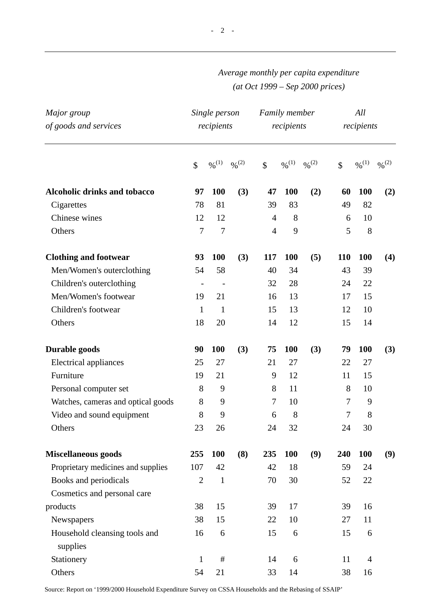# *Average monthly per capita expenditure (at Oct 1999 – Sep 2000 prices)*

| Major group<br>of goods and services      | Single person<br>recipients |                              |                              | Family member<br>recipients |                              |                     | All<br>recipients |                |                   |
|-------------------------------------------|-----------------------------|------------------------------|------------------------------|-----------------------------|------------------------------|---------------------|-------------------|----------------|-------------------|
|                                           | \$                          | $\frac{9}{6}$ <sup>(1)</sup> | $\frac{0}{2}$ <sup>(2)</sup> | $\mathbb{S}$                | $\frac{9}{6}$ <sup>(1)</sup> | $\frac{9}{6}^{(2)}$ | $\mathbb{S}$      | $\%^{(1)}$     | $\frac{96(2)}{2}$ |
| <b>Alcoholic drinks and tobacco</b>       | 97                          | <b>100</b>                   | (3)                          | 47                          | <b>100</b>                   | (2)                 | 60                | <b>100</b>     | (2)               |
| Cigarettes                                | 78                          | 81                           |                              | 39                          | 83                           |                     | 49                | 82             |                   |
| Chinese wines                             | 12                          | 12                           |                              | $\overline{4}$              | 8                            |                     | 6                 | 10             |                   |
| Others                                    | $\tau$                      | $\tau$                       |                              | $\overline{4}$              | 9                            |                     | 5                 | 8              |                   |
| <b>Clothing and footwear</b>              | 93                          | <b>100</b>                   | (3)                          | 117                         | <b>100</b>                   | (5)                 | 110               | <b>100</b>     | (4)               |
| Men/Women's outerclothing                 | 54                          | 58                           |                              | 40                          | 34                           |                     | 43                | 39             |                   |
| Children's outerclothing                  | $\overline{\phantom{a}}$    | $\overline{\phantom{a}}$     |                              | 32                          | 28                           |                     | 24                | 22             |                   |
| Men/Women's footwear                      | 19                          | 21                           |                              | 16                          | 13                           |                     | 17                | 15             |                   |
| Children's footwear                       | $\mathbf{1}$                | $\mathbf{1}$                 |                              | 15                          | 13                           |                     | 12                | 10             |                   |
| Others                                    | 18                          | 20                           |                              | 14                          | 12                           |                     | 15                | 14             |                   |
| Durable goods                             | 90                          | <b>100</b>                   | (3)                          | 75                          | <b>100</b>                   | (3)                 | 79                | <b>100</b>     | (3)               |
| <b>Electrical appliances</b>              | 25                          | 27                           |                              | 21                          | 27                           |                     | 22                | 27             |                   |
| Furniture                                 | 19                          | 21                           |                              | 9                           | 12                           |                     | 11                | 15             |                   |
| Personal computer set                     | 8                           | 9                            |                              | 8                           | 11                           |                     | 8                 | 10             |                   |
| Watches, cameras and optical goods        | 8                           | 9                            |                              | 7                           | 10                           |                     | 7                 | 9              |                   |
| Video and sound equipment                 | 8                           | 9                            |                              | 6                           | 8                            |                     | 7                 | 8              |                   |
| Others                                    | 23                          | 26                           |                              | 24                          | 32                           |                     | 24                | 30             |                   |
| <b>Miscellaneous goods</b>                | 255                         | 100                          | (8)                          | 235                         | 100                          | (9)                 | 240               | 100            | (9)               |
| Proprietary medicines and supplies        | 107                         | 42                           |                              | 42                          | 18                           |                     | 59                | 24             |                   |
| Books and periodicals                     | $\overline{2}$              | $\mathbf{1}$                 |                              | 70                          | 30                           |                     | 52                | 22             |                   |
| Cosmetics and personal care               |                             |                              |                              |                             |                              |                     |                   |                |                   |
| products                                  | 38                          | 15                           |                              | 39                          | 17                           |                     | 39                | 16             |                   |
| Newspapers                                | 38                          | 15                           |                              | 22                          | 10                           |                     | 27                | 11             |                   |
| Household cleansing tools and<br>supplies | 16                          | 6                            |                              | 15                          | 6                            |                     | 15                | 6              |                   |
| Stationery                                | $\mathbf{1}$                | $\#$                         |                              | 14                          | 6                            |                     | 11                | $\overline{4}$ |                   |
| Others                                    | 54                          | 21                           |                              | 33                          | 14                           |                     | 38                | 16             |                   |